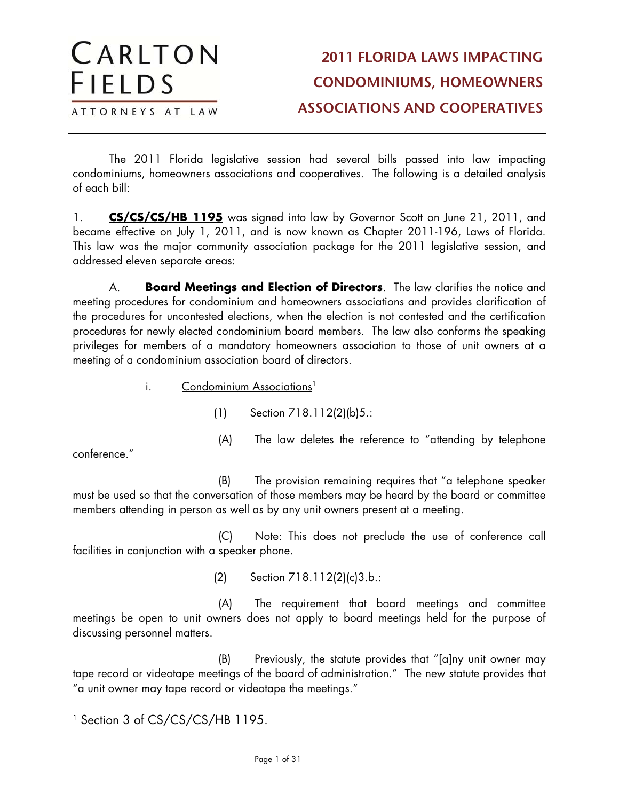#### CARLTON **2011 FLORIDA LAWS IMPACTING FIELDS CONDOMINIUMS, HOMEOWNERS ASSOCIATIONS AND COOPERATIVES** ATTORNEYS AT LAW

The 2011 Florida legislative session had several bills passed into law impacting condominiums, homeowners associations and cooperatives. The following is a detailed analysis of each bill:

1. **CS/CS/CS/HB 1195** was signed into law by Governor Scott on June 21, 2011, and became effective on July 1, 2011, and is now known as Chapter 2011-196, Laws of Florida. This law was the major community association package for the 2011 legislative session, and addressed eleven separate areas:

A. **Board Meetings and Election of Directors**. The law clarifies the notice and meeting procedures for condominium and homeowners associations and provides clarification of the procedures for uncontested elections, when the election is not contested and the certification procedures for newly elected condominium board members. The law also conforms the speaking privileges for members of a mandatory homeowners association to those of unit owners at a meeting of a condominium association board of directors.

i. Condominium Associations<sup>1</sup>

(1) Section 718.112(2)(b)5.:

conference."

 $\overline{a}$ 

(B) The provision remaining requires that "a telephone speaker must be used so that the conversation of those members may be heard by the board or committee members attending in person as well as by any unit owners present at a meeting.

(A) The law deletes the reference to "attending by telephone

(C) Note: This does not preclude the use of conference call facilities in conjunction with a speaker phone.

(2) Section 718.112(2)(c)3.b.:

(A) The requirement that board meetings and committee meetings be open to unit owners does not apply to board meetings held for the purpose of discussing personnel matters.

(B) Previously, the statute provides that "[a]ny unit owner may tape record or videotape meetings of the board of administration." The new statute provides that "a unit owner may tape record or videotape the meetings."

<sup>&</sup>lt;sup>1</sup> Section 3 of CS/CS/CS/HB 1195.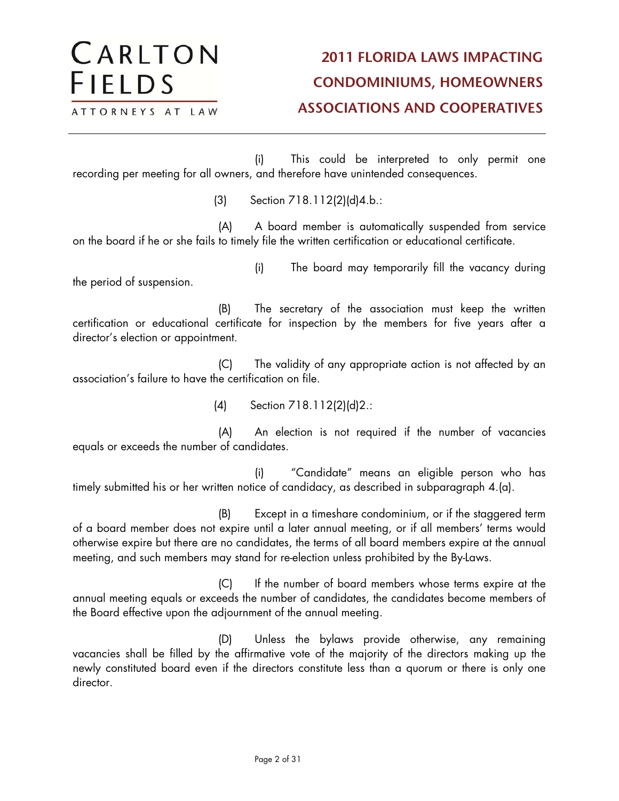(i) This could be interpreted to only permit one recording per meeting for all owners, and therefore have unintended consequences.

(3) Section 718.112(2)(d)4.b.:

(A) A board member is automatically suspended from service on the board if he or she fails to timely file the written certification or educational certificate.

the period of suspension.

CARLTON

ATTORNEYS AT LAW

**FIELDS** 

(i) The board may temporarily fill the vacancy during

(B) The secretary of the association must keep the written certification or educational certificate for inspection by the members for five years after a director's election or appointment.

(C) The validity of any appropriate action is not affected by an association's failure to have the certification on file.

(4) Section 718.112(2)(d)2.:

(A) An election is not required if the number of vacancies equals or exceeds the number of candidates.

(i) "Candidate" means an eligible person who has timely submitted his or her written notice of candidacy, as described in subparagraph 4.(a).

(B) Except in a timeshare condominium, or if the staggered term of a board member does not expire until a later annual meeting, or if all members' terms would otherwise expire but there are no candidates, the terms of all board members expire at the annual meeting, and such members may stand for re-election unless prohibited by the By-Laws.

(C) If the number of board members whose terms expire at the annual meeting equals or exceeds the number of candidates, the candidates become members of the Board effective upon the adjournment of the annual meeting.

(D) Unless the bylaws provide otherwise, any remaining vacancies shall be filled by the affirmative vote of the majority of the directors making up the newly constituted board even if the directors constitute less than a quorum or there is only one director.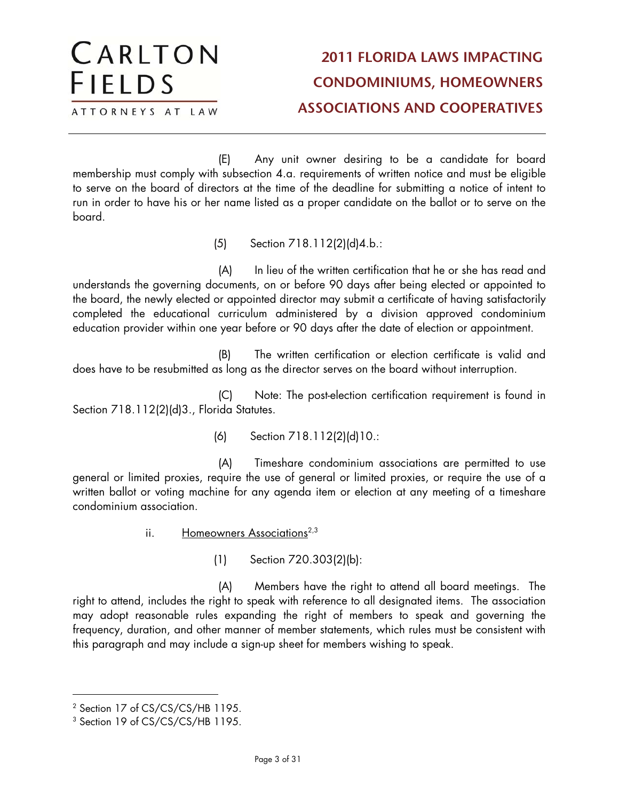(E) Any unit owner desiring to be a candidate for board membership must comply with subsection 4.a. requirements of written notice and must be eligible to serve on the board of directors at the time of the deadline for submitting a notice of intent to run in order to have his or her name listed as a proper candidate on the ballot or to serve on the board.

(5) Section 718.112(2)(d)4.b.:

(A) In lieu of the written certification that he or she has read and understands the governing documents, on or before 90 days after being elected or appointed to the board, the newly elected or appointed director may submit a certificate of having satisfactorily completed the educational curriculum administered by a division approved condominium education provider within one year before or 90 days after the date of election or appointment.

(B) The written certification or election certificate is valid and does have to be resubmitted as long as the director serves on the board without interruption.

(C) Note: The post-election certification requirement is found in Section 718.112(2)(d)3., Florida Statutes.

(6) Section 718.112(2)(d)10.:

(A) Timeshare condominium associations are permitted to use general or limited proxies, require the use of general or limited proxies, or require the use of a written ballot or voting machine for any agenda item or election at any meeting of a timeshare condominium association.

- ii. Homeowners Associations<sup> $2,3$ </sup>
	- (1) Section 720.303(2)(b):

(A) Members have the right to attend all board meetings. The right to attend, includes the right to speak with reference to all designated items. The association may adopt reasonable rules expanding the right of members to speak and governing the frequency, duration, and other manner of member statements, which rules must be consistent with this paragraph and may include a sign-up sheet for members wishing to speak.

<sup>2</sup> Section 17 of CS/CS/CS/HB 1195.

<sup>&</sup>lt;sup>3</sup> Section 19 of CS/CS/CS/HB 1195.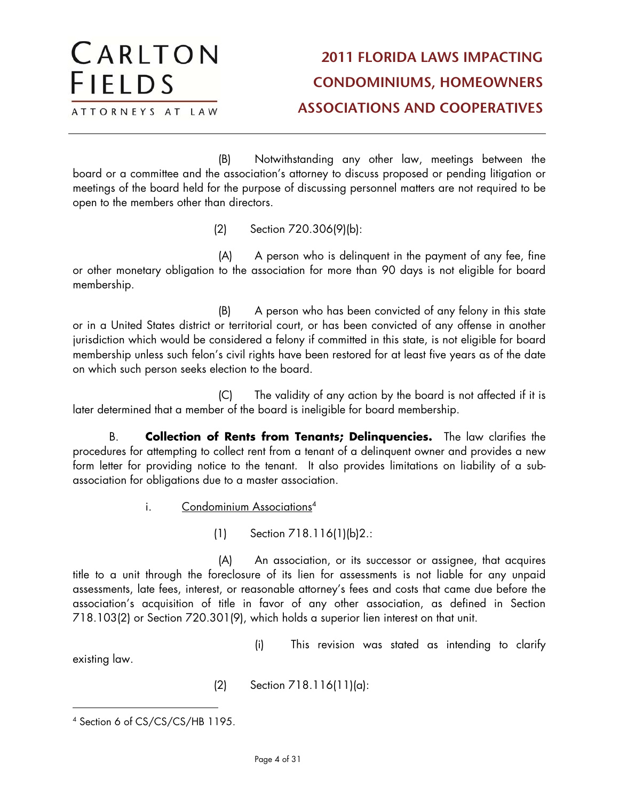(B) Notwithstanding any other law, meetings between the board or a committee and the association's attorney to discuss proposed or pending litigation or meetings of the board held for the purpose of discussing personnel matters are not required to be open to the members other than directors.

(2) Section 720.306(9)(b):

(A) A person who is delinquent in the payment of any fee, fine or other monetary obligation to the association for more than 90 days is not eligible for board membership.

(B) A person who has been convicted of any felony in this state or in a United States district or territorial court, or has been convicted of any offense in another jurisdiction which would be considered a felony if committed in this state, is not eligible for board membership unless such felon's civil rights have been restored for at least five years as of the date on which such person seeks election to the board.

(C) The validity of any action by the board is not affected if it is later determined that a member of the board is ineligible for board membership.

B. **Collection of Rents from Tenants; Delinquencies.** The law clarifies the procedures for attempting to collect rent from a tenant of a delinquent owner and provides a new form letter for providing notice to the tenant. It also provides limitations on liability of a subassociation for obligations due to a master association.

i. Condominium Associations<sup>4</sup>

(1) Section 718.116(1)(b)2.:

(A) An association, or its successor or assignee, that acquires title to a unit through the foreclosure of its lien for assessments is not liable for any unpaid assessments, late fees, interest, or reasonable attorney's fees and costs that came due before the association's acquisition of title in favor of any other association, as defined in Section 718.103(2) or Section 720.301(9), which holds a superior lien interest on that unit.

(i) This revision was stated as intending to clarify

existing law.

(2) Section 718.116(11)(a):

CARLTON

ATTORNEYS AT LAW

**FIELDS** 

 $\overline{a}$ 4 Section 6 of CS/CS/CS/HB 1195.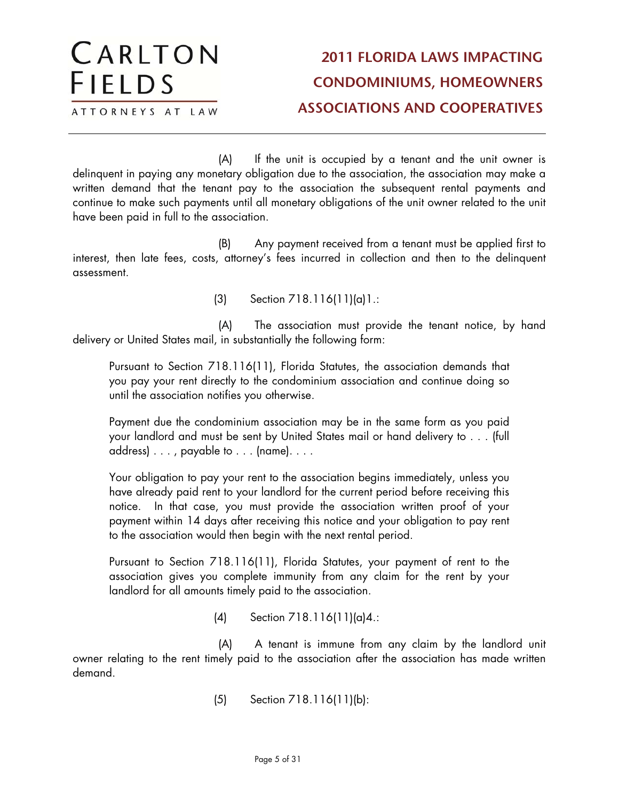(A) If the unit is occupied by a tenant and the unit owner is delinquent in paying any monetary obligation due to the association, the association may make a written demand that the tenant pay to the association the subsequent rental payments and continue to make such payments until all monetary obligations of the unit owner related to the unit have been paid in full to the association.

(B) Any payment received from a tenant must be applied first to interest, then late fees, costs, attorney's fees incurred in collection and then to the delinquent assessment.

(3) Section 718.116(11)(a)1.:

(A) The association must provide the tenant notice, by hand delivery or United States mail, in substantially the following form:

Pursuant to Section 718.116(11), Florida Statutes, the association demands that you pay your rent directly to the condominium association and continue doing so until the association notifies you otherwise.

Payment due the condominium association may be in the same form as you paid your landlord and must be sent by United States mail or hand delivery to . . . (full address) . . . , payable to . . . (name). . . .

Your obligation to pay your rent to the association begins immediately, unless you have already paid rent to your landlord for the current period before receiving this notice. In that case, you must provide the association written proof of your payment within 14 days after receiving this notice and your obligation to pay rent to the association would then begin with the next rental period.

Pursuant to Section 718.116(11), Florida Statutes, your payment of rent to the association gives you complete immunity from any claim for the rent by your landlord for all amounts timely paid to the association.

(4) Section 718.116(11)(a)4.:

(A) A tenant is immune from any claim by the landlord unit owner relating to the rent timely paid to the association after the association has made written demand.

(5) Section 718.116(11)(b):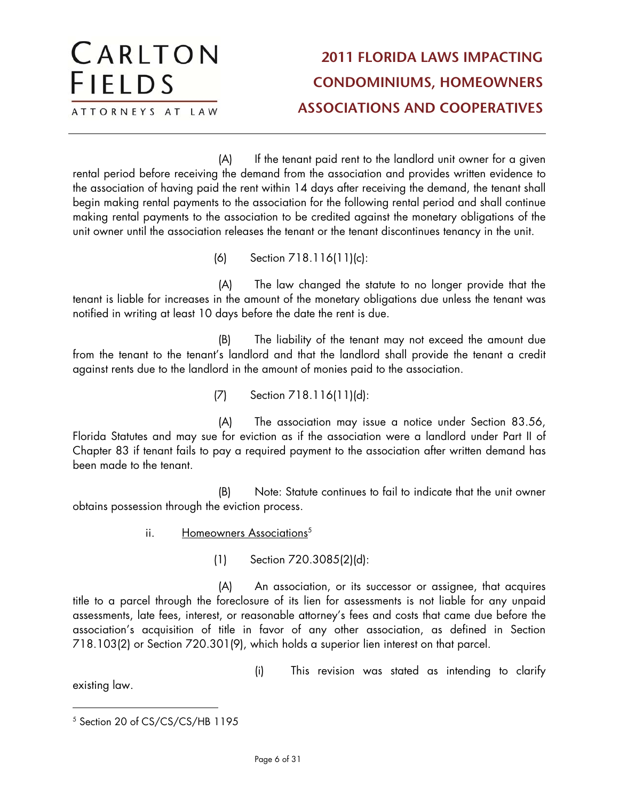(A) If the tenant paid rent to the landlord unit owner for a given rental period before receiving the demand from the association and provides written evidence to the association of having paid the rent within 14 days after receiving the demand, the tenant shall begin making rental payments to the association for the following rental period and shall continue making rental payments to the association to be credited against the monetary obligations of the unit owner until the association releases the tenant or the tenant discontinues tenancy in the unit.

(6) Section 718.116(11)(c):

(A) The law changed the statute to no longer provide that the tenant is liable for increases in the amount of the monetary obligations due unless the tenant was notified in writing at least 10 days before the date the rent is due.

(B) The liability of the tenant may not exceed the amount due from the tenant to the tenant's landlord and that the landlord shall provide the tenant a credit against rents due to the landlord in the amount of monies paid to the association.

(7) Section 718.116(11)(d):

(A) The association may issue a notice under Section 83.56, Florida Statutes and may sue for eviction as if the association were a landlord under Part II of Chapter 83 if tenant fails to pay a required payment to the association after written demand has been made to the tenant.

(B) Note: Statute continues to fail to indicate that the unit owner obtains possession through the eviction process.

- ii. Homeowners Associations<sup>5</sup>
	- (1) Section 720.3085(2)(d):

(A) An association, or its successor or assignee, that acquires title to a parcel through the foreclosure of its lien for assessments is not liable for any unpaid assessments, late fees, interest, or reasonable attorney's fees and costs that came due before the association's acquisition of title in favor of any other association, as defined in Section 718.103(2) or Section 720.301(9), which holds a superior lien interest on that parcel.

existing law.

(i) This revision was stated as intending to clarify

 $\overline{a}$ <sup>5</sup> Section 20 of CS/CS/CS/HB 1195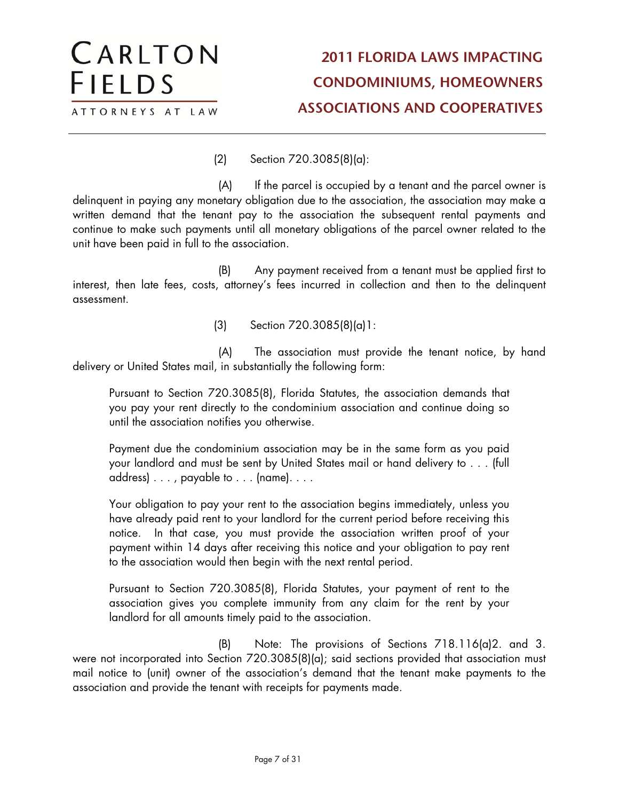(2) Section 720.3085(8)(a):

CARLTON

ATTORNEYS AT LAW

**FIELDS** 

(A) If the parcel is occupied by a tenant and the parcel owner is delinquent in paying any monetary obligation due to the association, the association may make a written demand that the tenant pay to the association the subsequent rental payments and continue to make such payments until all monetary obligations of the parcel owner related to the unit have been paid in full to the association.

(B) Any payment received from a tenant must be applied first to interest, then late fees, costs, attorney's fees incurred in collection and then to the delinquent assessment.

(3) Section 720.3085(8)(a)1:

(A) The association must provide the tenant notice, by hand delivery or United States mail, in substantially the following form:

Pursuant to Section 720.3085(8), Florida Statutes, the association demands that you pay your rent directly to the condominium association and continue doing so until the association notifies you otherwise.

Payment due the condominium association may be in the same form as you paid your landlord and must be sent by United States mail or hand delivery to . . . (full address) . . . , payable to . . . (name). . . .

Your obligation to pay your rent to the association begins immediately, unless you have already paid rent to your landlord for the current period before receiving this notice. In that case, you must provide the association written proof of your payment within 14 days after receiving this notice and your obligation to pay rent to the association would then begin with the next rental period.

Pursuant to Section 720.3085(8), Florida Statutes, your payment of rent to the association gives you complete immunity from any claim for the rent by your landlord for all amounts timely paid to the association.

(B) Note: The provisions of Sections 718.116(a)2. and 3. were not incorporated into Section 720.3085(8)(a); said sections provided that association must mail notice to (unit) owner of the association's demand that the tenant make payments to the association and provide the tenant with receipts for payments made.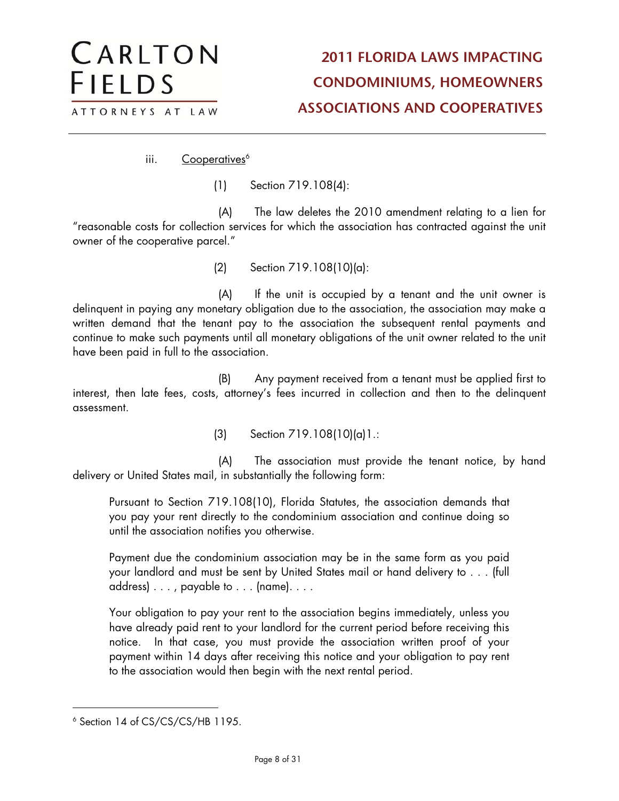iii. Cooperatives<sup>6</sup>

CARLTON

ATTORNEYS AT LAW

**FIELDS** 

(1) Section 719.108(4):

(A) The law deletes the 2010 amendment relating to a lien for "reasonable costs for collection services for which the association has contracted against the unit owner of the cooperative parcel."

(2) Section 719.108(10)(a):

(A) If the unit is occupied by a tenant and the unit owner is delinquent in paying any monetary obligation due to the association, the association may make a written demand that the tenant pay to the association the subsequent rental payments and continue to make such payments until all monetary obligations of the unit owner related to the unit have been paid in full to the association.

(B) Any payment received from a tenant must be applied first to interest, then late fees, costs, attorney's fees incurred in collection and then to the delinquent assessment.

(3) Section 719.108(10)(a)1.:

(A) The association must provide the tenant notice, by hand delivery or United States mail, in substantially the following form:

Pursuant to Section 719.108(10), Florida Statutes, the association demands that you pay your rent directly to the condominium association and continue doing so until the association notifies you otherwise.

Payment due the condominium association may be in the same form as you paid your landlord and must be sent by United States mail or hand delivery to . . . (full address) . . . , payable to . . . (name). . . .

Your obligation to pay your rent to the association begins immediately, unless you have already paid rent to your landlord for the current period before receiving this notice. In that case, you must provide the association written proof of your payment within 14 days after receiving this notice and your obligation to pay rent to the association would then begin with the next rental period.

<sup>6</sup> Section 14 of CS/CS/CS/HB 1195.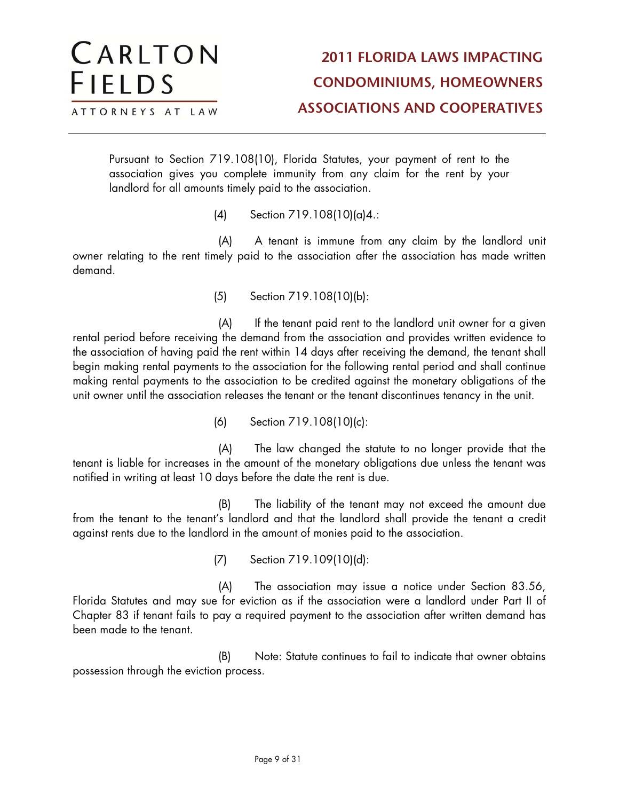Pursuant to Section 719.108(10), Florida Statutes, your payment of rent to the association gives you complete immunity from any claim for the rent by your landlord for all amounts timely paid to the association.

(4) Section 719.108(10)(a)4.:

CARLTON

ATTORNEYS AT LAW

**FIELDS** 

(A) A tenant is immune from any claim by the landlord unit owner relating to the rent timely paid to the association after the association has made written demand.

(5) Section 719.108(10)(b):

(A) If the tenant paid rent to the landlord unit owner for a given rental period before receiving the demand from the association and provides written evidence to the association of having paid the rent within 14 days after receiving the demand, the tenant shall begin making rental payments to the association for the following rental period and shall continue making rental payments to the association to be credited against the monetary obligations of the unit owner until the association releases the tenant or the tenant discontinues tenancy in the unit.

(6) Section 719.108(10)(c):

(A) The law changed the statute to no longer provide that the tenant is liable for increases in the amount of the monetary obligations due unless the tenant was notified in writing at least 10 days before the date the rent is due.

(B) The liability of the tenant may not exceed the amount due from the tenant to the tenant's landlord and that the landlord shall provide the tenant a credit against rents due to the landlord in the amount of monies paid to the association.

(7) Section 719.109(10)(d):

(A) The association may issue a notice under Section 83.56, Florida Statutes and may sue for eviction as if the association were a landlord under Part II of Chapter 83 if tenant fails to pay a required payment to the association after written demand has been made to the tenant.

(B) Note: Statute continues to fail to indicate that owner obtains possession through the eviction process.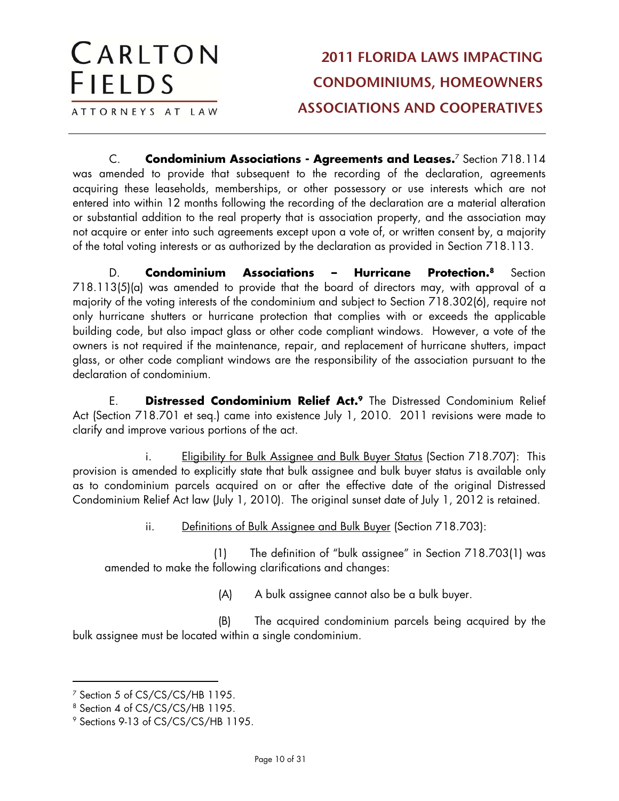C. **Condominium Associations - Agreements and Leases.**7 Section 718.114 was amended to provide that subsequent to the recording of the declaration, agreements acquiring these leaseholds, memberships, or other possessory or use interests which are not entered into within 12 months following the recording of the declaration are a material alteration or substantial addition to the real property that is association property, and the association may not acquire or enter into such agreements except upon a vote of, or written consent by, a majority of the total voting interests or as authorized by the declaration as provided in Section 718.113.

D. **Condominium Associations – Hurricane Protection.8** Section 718.113(5)(a) was amended to provide that the board of directors may, with approval of a majority of the voting interests of the condominium and subject to Section 718.302(6), require not only hurricane shutters or hurricane protection that complies with or exceeds the applicable building code, but also impact glass or other code compliant windows. However, a vote of the owners is not required if the maintenance, repair, and replacement of hurricane shutters, impact glass, or other code compliant windows are the responsibility of the association pursuant to the declaration of condominium.

E. **Distressed Condominium Relief Act.9** The Distressed Condominium Relief Act (Section 718.701 et seq.) came into existence July 1, 2010. 2011 revisions were made to clarify and improve various portions of the act.

i. Eligibility for Bulk Assignee and Bulk Buyer Status (Section 718.707): This provision is amended to explicitly state that bulk assignee and bulk buyer status is available only as to condominium parcels acquired on or after the effective date of the original Distressed Condominium Relief Act law (July 1, 2010). The original sunset date of July 1, 2012 is retained.

ii. Definitions of Bulk Assignee and Bulk Buyer (Section 718.703):

(1) The definition of "bulk assignee" in Section 718.703(1) was amended to make the following clarifications and changes:

(A) A bulk assignee cannot also be a bulk buyer.

(B) The acquired condominium parcels being acquired by the bulk assignee must be located within a single condominium.

CARLTON

ATTORNEYS AT LAW

**FIELDS** 

<sup>&</sup>lt;sup>7</sup> Section 5 of CS/CS/CS/HB 1195.

<sup>8</sup> Section 4 of CS/CS/CS/HB 1195.

<sup>9</sup> Sections 9-13 of CS/CS/CS/HB 1195.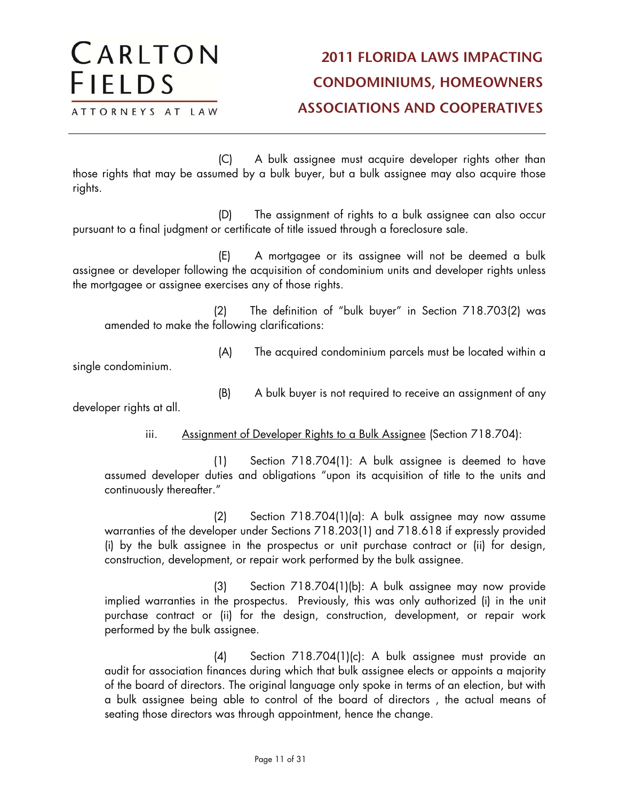ATTORNEYS AT LAW

CARLTON

**FIELDS** 

(C) A bulk assignee must acquire developer rights other than those rights that may be assumed by a bulk buyer, but a bulk assignee may also acquire those rights.

(D) The assignment of rights to a bulk assignee can also occur pursuant to a final judgment or certificate of title issued through a foreclosure sale.

(E) A mortgagee or its assignee will not be deemed a bulk assignee or developer following the acquisition of condominium units and developer rights unless the mortgagee or assignee exercises any of those rights.

(2) The definition of "bulk buyer" in Section 718.703(2) was amended to make the following clarifications:

(A) The acquired condominium parcels must be located within a

single condominium.

(B) A bulk buyer is not required to receive an assignment of any

developer rights at all.

#### iii. Assignment of Developer Rights to a Bulk Assignee (Section 718.704):

(1) Section 718.704(1): A bulk assignee is deemed to have assumed developer duties and obligations "upon its acquisition of title to the units and continuously thereafter."

(2) Section 718.704(1)(a): A bulk assignee may now assume warranties of the developer under Sections 718.203(1) and 718.618 if expressly provided (i) by the bulk assignee in the prospectus or unit purchase contract or (ii) for design, construction, development, or repair work performed by the bulk assignee.

(3) Section 718.704(1)(b): A bulk assignee may now provide implied warranties in the prospectus. Previously, this was only authorized (i) in the unit purchase contract or (ii) for the design, construction, development, or repair work performed by the bulk assignee.

(4) Section 718.704(1)(c): A bulk assignee must provide an audit for association finances during which that bulk assignee elects or appoints a majority of the board of directors. The original language only spoke in terms of an election, but with a bulk assignee being able to control of the board of directors , the actual means of seating those directors was through appointment, hence the change.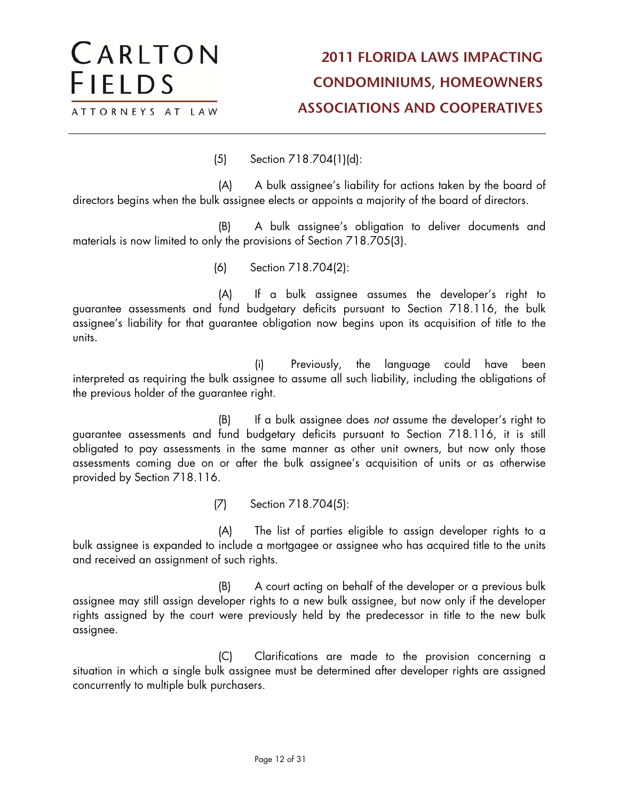(5) Section 718.704(1)(d):

CARLTON

ATTORNEYS AT LAW

**FIELDS** 

(A) A bulk assignee's liability for actions taken by the board of directors begins when the bulk assignee elects or appoints a majority of the board of directors.

(B) A bulk assignee's obligation to deliver documents and materials is now limited to only the provisions of Section 718.705(3).

(6) Section 718.704(2):

(A) If a bulk assignee assumes the developer's right to guarantee assessments and fund budgetary deficits pursuant to Section 718.116, the bulk assignee's liability for that guarantee obligation now begins upon its acquisition of title to the units.

(i) Previously, the language could have been interpreted as requiring the bulk assignee to assume all such liability, including the obligations of the previous holder of the guarantee right.

(B) If a bulk assignee does not assume the developer's right to guarantee assessments and fund budgetary deficits pursuant to Section 718.116, it is still obligated to pay assessments in the same manner as other unit owners, but now only those assessments coming due on or after the bulk assignee's acquisition of units or as otherwise provided by Section 718.116.

(7) Section 718.704(5):

(A) The list of parties eligible to assign developer rights to a bulk assignee is expanded to include a mortgagee or assignee who has acquired title to the units and received an assignment of such rights.

(B) A court acting on behalf of the developer or a previous bulk assignee may still assign developer rights to a new bulk assignee, but now only if the developer rights assigned by the court were previously held by the predecessor in title to the new bulk assignee.

(C) Clarifications are made to the provision concerning a situation in which a single bulk assignee must be determined after developer rights are assigned concurrently to multiple bulk purchasers.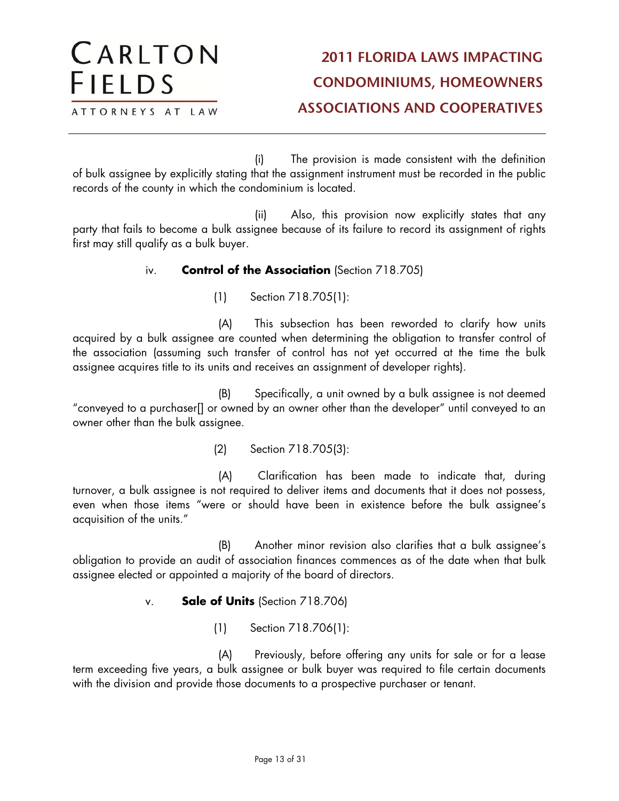(i) The provision is made consistent with the definition of bulk assignee by explicitly stating that the assignment instrument must be recorded in the public records of the county in which the condominium is located.

(ii) Also, this provision now explicitly states that any party that fails to become a bulk assignee because of its failure to record its assignment of rights first may still qualify as a bulk buyer.

#### iv. **Control of the Association** (Section 718.705)

(1) Section 718.705(1):

(A) This subsection has been reworded to clarify how units acquired by a bulk assignee are counted when determining the obligation to transfer control of the association (assuming such transfer of control has not yet occurred at the time the bulk assignee acquires title to its units and receives an assignment of developer rights).

(B) Specifically, a unit owned by a bulk assignee is not deemed "conveyed to a purchaser[] or owned by an owner other than the developer" until conveyed to an owner other than the bulk assignee.

(2) Section 718.705(3):

(A) Clarification has been made to indicate that, during turnover, a bulk assignee is not required to deliver items and documents that it does not possess, even when those items "were or should have been in existence before the bulk assignee's acquisition of the units."

(B) Another minor revision also clarifies that a bulk assignee's obligation to provide an audit of association finances commences as of the date when that bulk assignee elected or appointed a majority of the board of directors.

v. **Sale of Units** (Section 718.706)

(1) Section 718.706(1):

(A) Previously, before offering any units for sale or for a lease term exceeding five years, a bulk assignee or bulk buyer was required to file certain documents with the division and provide those documents to a prospective purchaser or tenant.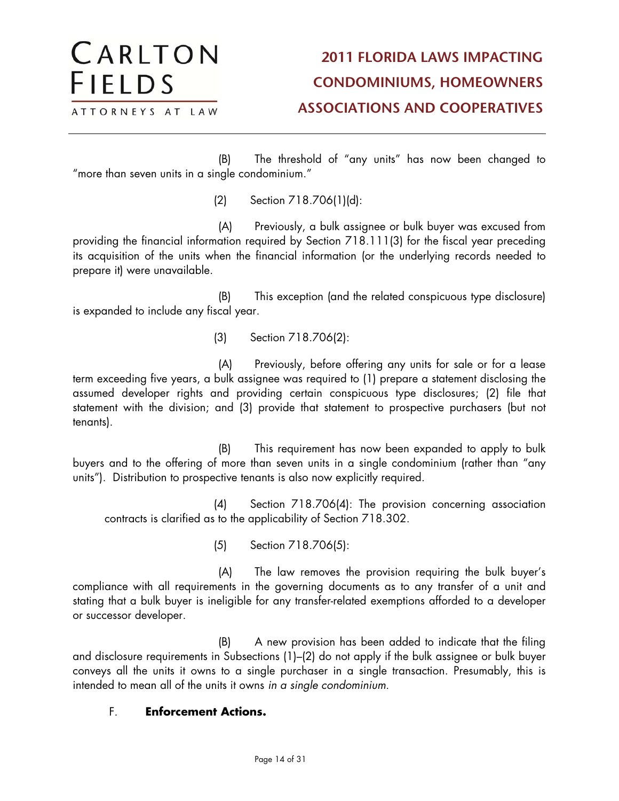(B) The threshold of "any units" has now been changed to "more than seven units in a single condominium."

(2) Section 718.706(1)(d):

CARLTON

ATTORNEYS AT LAW

**FIELDS** 

(A) Previously, a bulk assignee or bulk buyer was excused from providing the financial information required by Section 718.111(3) for the fiscal year preceding its acquisition of the units when the financial information (or the underlying records needed to prepare it) were unavailable.

(B) This exception (and the related conspicuous type disclosure) is expanded to include any fiscal year.

(3) Section 718.706(2):

(A) Previously, before offering any units for sale or for a lease term exceeding five years, a bulk assignee was required to (1) prepare a statement disclosing the assumed developer rights and providing certain conspicuous type disclosures; (2) file that statement with the division; and (3) provide that statement to prospective purchasers (but not tenants).

(B) This requirement has now been expanded to apply to bulk buyers and to the offering of more than seven units in a single condominium (rather than "any units"). Distribution to prospective tenants is also now explicitly required.

(4) Section 718.706(4): The provision concerning association contracts is clarified as to the applicability of Section 718.302.

(5) Section 718.706(5):

(A) The law removes the provision requiring the bulk buyer's compliance with all requirements in the governing documents as to any transfer of a unit and stating that a bulk buyer is ineligible for any transfer-related exemptions afforded to a developer or successor developer.

(B) A new provision has been added to indicate that the filing and disclosure requirements in Subsections (1)–(2) do not apply if the bulk assignee or bulk buyer conveys all the units it owns to a single purchaser in a single transaction. Presumably, this is intended to mean all of the units it owns in a single condominium.

#### F. **Enforcement Actions.**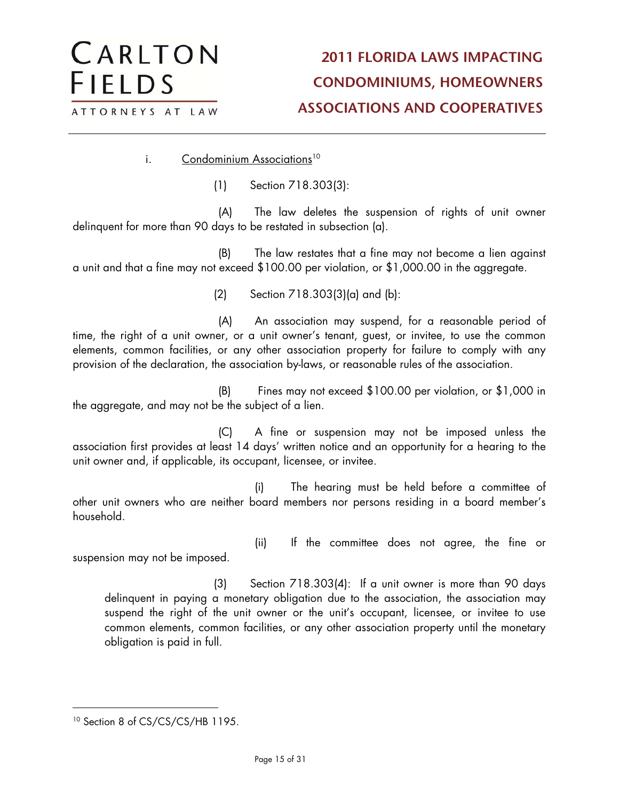i. Condominium Associations<sup>10</sup>

CARLTON

ATTORNEYS AT LAW

**FIELDS** 

(1) Section 718.303(3):

(A) The law deletes the suspension of rights of unit owner delinquent for more than 90 days to be restated in subsection (a).

(B) The law restates that a fine may not become a lien against a unit and that a fine may not exceed \$100.00 per violation, or \$1,000.00 in the aggregate.

(2) Section 718.303(3)(a) and (b):

(A) An association may suspend, for a reasonable period of time, the right of a unit owner, or a unit owner's tenant, guest, or invitee, to use the common elements, common facilities, or any other association property for failure to comply with any provision of the declaration, the association by-laws, or reasonable rules of the association.

(B) Fines may not exceed \$100.00 per violation, or \$1,000 in the aggregate, and may not be the subject of a lien.

(C) A fine or suspension may not be imposed unless the association first provides at least 14 days' written notice and an opportunity for a hearing to the unit owner and, if applicable, its occupant, licensee, or invitee.

(i) The hearing must be held before a committee of other unit owners who are neither board members nor persons residing in a board member's household.

(ii) If the committee does not agree, the fine or suspension may not be imposed.

(3) Section 718.303(4): If a unit owner is more than 90 days delinquent in paying a monetary obligation due to the association, the association may suspend the right of the unit owner or the unit's occupant, licensee, or invitee to use common elements, common facilities, or any other association property until the monetary obligation is paid in full.

<sup>&</sup>lt;sup>10</sup> Section 8 of CS/CS/CS/HB 1195.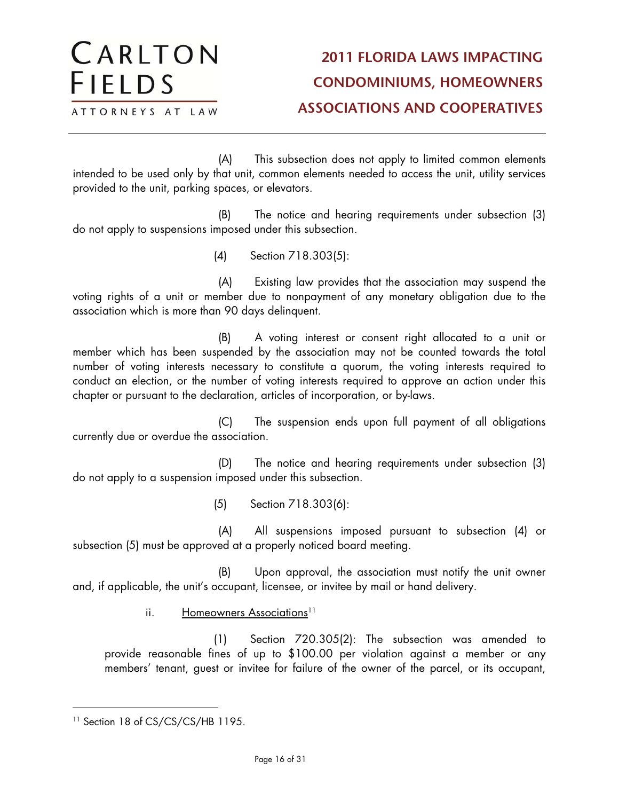(A) This subsection does not apply to limited common elements intended to be used only by that unit, common elements needed to access the unit, utility services provided to the unit, parking spaces, or elevators.

(B) The notice and hearing requirements under subsection (3) do not apply to suspensions imposed under this subsection.

(4) Section 718.303(5):

(A) Existing law provides that the association may suspend the voting rights of a unit or member due to nonpayment of any monetary obligation due to the association which is more than 90 days delinquent.

(B) A voting interest or consent right allocated to a unit or member which has been suspended by the association may not be counted towards the total number of voting interests necessary to constitute a quorum, the voting interests required to conduct an election, or the number of voting interests required to approve an action under this chapter or pursuant to the declaration, articles of incorporation, or by-laws.

(C) The suspension ends upon full payment of all obligations currently due or overdue the association.

(D) The notice and hearing requirements under subsection (3) do not apply to a suspension imposed under this subsection.

(5) Section 718.303(6):

(A) All suspensions imposed pursuant to subsection (4) or subsection (5) must be approved at a properly noticed board meeting.

(B) Upon approval, the association must notify the unit owner and, if applicable, the unit's occupant, licensee, or invitee by mail or hand delivery.

ii. Homeowners Associations<sup>11</sup>

(1) Section 720.305(2): The subsection was amended to provide reasonable fines of up to \$100.00 per violation against a member or any members' tenant, guest or invitee for failure of the owner of the parcel, or its occupant,

<sup>&</sup>lt;sup>11</sup> Section 18 of CS/CS/CS/HB 1195.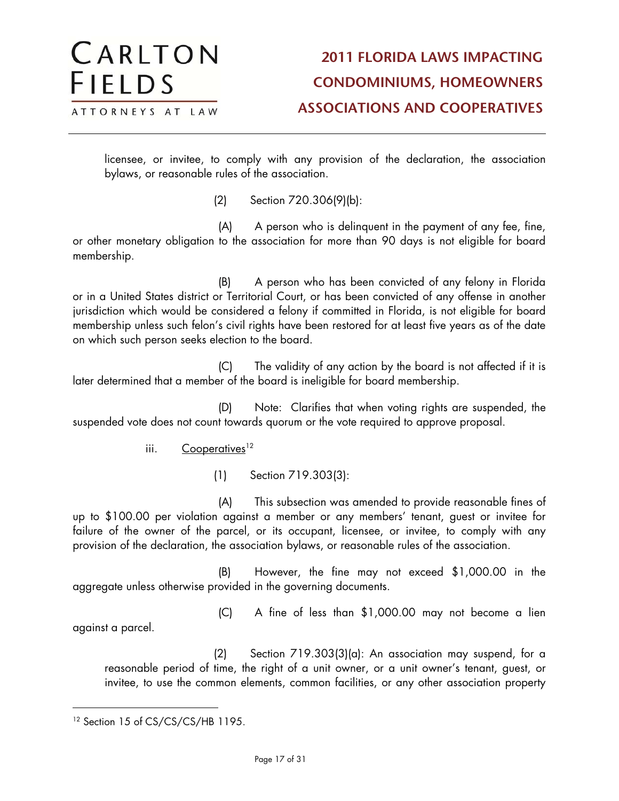licensee, or invitee, to comply with any provision of the declaration, the association bylaws, or reasonable rules of the association.

(2) Section 720.306(9)(b):

(A) A person who is delinquent in the payment of any fee, fine, or other monetary obligation to the association for more than 90 days is not eligible for board membership.

(B) A person who has been convicted of any felony in Florida or in a United States district or Territorial Court, or has been convicted of any offense in another jurisdiction which would be considered a felony if committed in Florida, is not eligible for board membership unless such felon's civil rights have been restored for at least five years as of the date on which such person seeks election to the board.

(C) The validity of any action by the board is not affected if it is later determined that a member of the board is ineligible for board membership.

(D) Note: Clarifies that when voting rights are suspended, the suspended vote does not count towards quorum or the vote required to approve proposal.

iii.  $Cooperatives<sup>12</sup>$ 

CARLTON

ATTORNEYS AT LAW

**FIELDS** 

(1) Section 719.303(3):

(A) This subsection was amended to provide reasonable fines of up to \$100.00 per violation against a member or any members' tenant, guest or invitee for failure of the owner of the parcel, or its occupant, licensee, or invitee, to comply with any provision of the declaration, the association bylaws, or reasonable rules of the association.

(B) However, the fine may not exceed \$1,000.00 in the aggregate unless otherwise provided in the governing documents.

(C) A fine of less than \$1,000.00 may not become a lien against a parcel.

(2) Section 719.303(3)(a): An association may suspend, for a reasonable period of time, the right of a unit owner, or a unit owner's tenant, guest, or invitee, to use the common elements, common facilities, or any other association property

<sup>&</sup>lt;sup>12</sup> Section 15 of CS/CS/CS/HB 1195.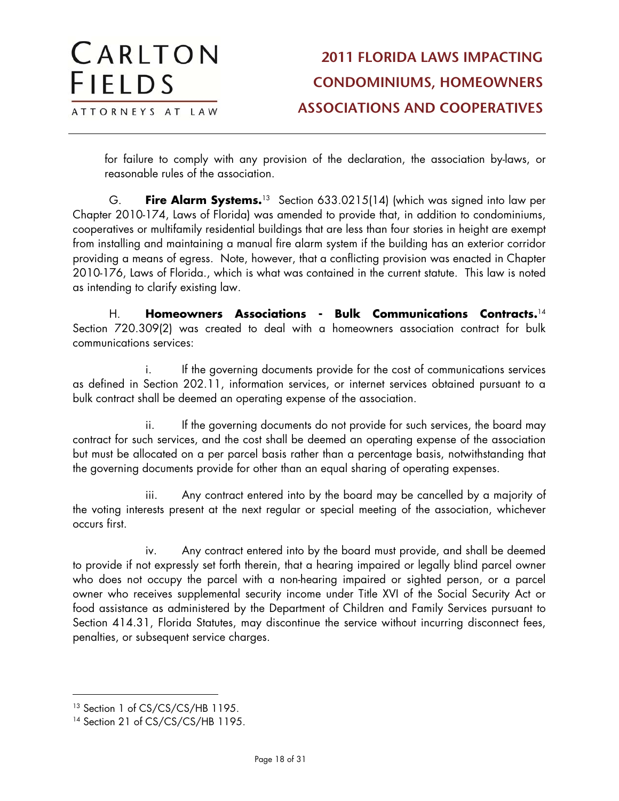for failure to comply with any provision of the declaration, the association by-laws, or reasonable rules of the association.

G. **Fire Alarm Systems.**<sup>13</sup>Section 633.0215(14) (which was signed into law per Chapter 2010-174, Laws of Florida) was amended to provide that, in addition to condominiums, cooperatives or multifamily residential buildings that are less than four stories in height are exempt from installing and maintaining a manual fire alarm system if the building has an exterior corridor providing a means of egress. Note, however, that a conflicting provision was enacted in Chapter 2010-176, Laws of Florida., which is what was contained in the current statute. This law is noted as intending to clarify existing law.

H. **Homeowners Associations - Bulk Communications Contracts.**<sup>14</sup> Section 720.309(2) was created to deal with a homeowners association contract for bulk communications services:

i. If the governing documents provide for the cost of communications services as defined in Section 202.11, information services, or internet services obtained pursuant to a bulk contract shall be deemed an operating expense of the association.

ii. If the governing documents do not provide for such services, the board may contract for such services, and the cost shall be deemed an operating expense of the association but must be allocated on a per parcel basis rather than a percentage basis, notwithstanding that the governing documents provide for other than an equal sharing of operating expenses.

iii. Any contract entered into by the board may be cancelled by a majority of the voting interests present at the next regular or special meeting of the association, whichever occurs first.

iv. Any contract entered into by the board must provide, and shall be deemed to provide if not expressly set forth therein, that a hearing impaired or legally blind parcel owner who does not occupy the parcel with a non-hearing impaired or sighted person, or a parcel owner who receives supplemental security income under Title XVI of the Social Security Act or food assistance as administered by the Department of Children and Family Services pursuant to Section 414.31, Florida Statutes, may discontinue the service without incurring disconnect fees, penalties, or subsequent service charges.

<sup>&</sup>lt;sup>13</sup> Section 1 of CS/CS/CS/HB 1195.

<sup>&</sup>lt;sup>14</sup> Section 21 of CS/CS/CS/HB 1195.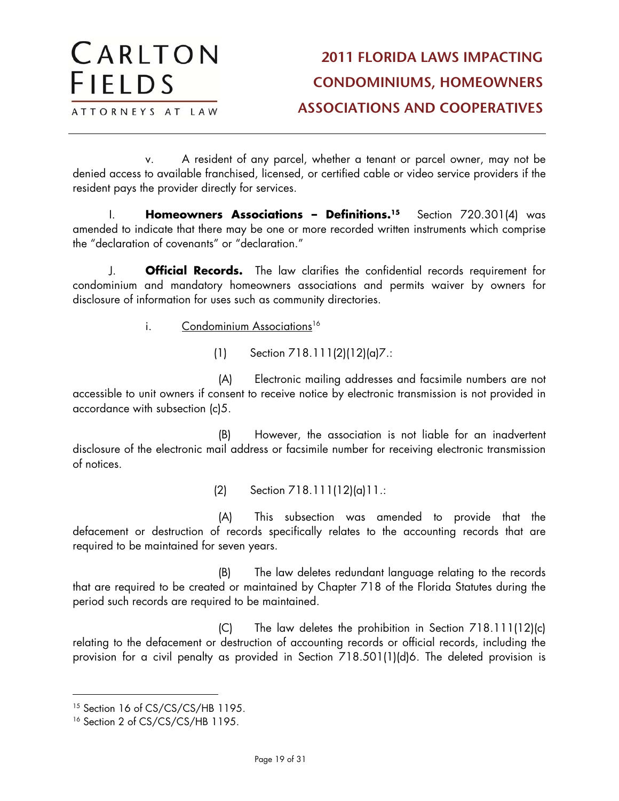v. A resident of any parcel, whether a tenant or parcel owner, may not be denied access to available franchised, licensed, or certified cable or video service providers if the resident pays the provider directly for services.

I. **Homeowners Associations – Definitions.15** Section 720.301(4) was amended to indicate that there may be one or more recorded written instruments which comprise the "declaration of covenants" or "declaration."

J. **Official Records.** The law clarifies the confidential records requirement for condominium and mandatory homeowners associations and permits waiver by owners for disclosure of information for uses such as community directories.

i. Condominium Associations<sup>16</sup>

(1) Section 718.111(2)(12)(a)7.:

(A) Electronic mailing addresses and facsimile numbers are not accessible to unit owners if consent to receive notice by electronic transmission is not provided in accordance with subsection (c)5.

(B) However, the association is not liable for an inadvertent disclosure of the electronic mail address or facsimile number for receiving electronic transmission of notices.

(2) Section 718.111(12)(a)11.:

(A) This subsection was amended to provide that the defacement or destruction of records specifically relates to the accounting records that are required to be maintained for seven years.

(B) The law deletes redundant language relating to the records that are required to be created or maintained by Chapter 718 of the Florida Statutes during the period such records are required to be maintained.

(C) The law deletes the prohibition in Section 718.111(12)(c) relating to the defacement or destruction of accounting records or official records, including the provision for a civil penalty as provided in Section 718.501(1)(d)6. The deleted provision is

<sup>&</sup>lt;sup>15</sup> Section 16 of CS/CS/CS/HB 1195.

<sup>&</sup>lt;sup>16</sup> Section 2 of CS/CS/CS/HB 1195.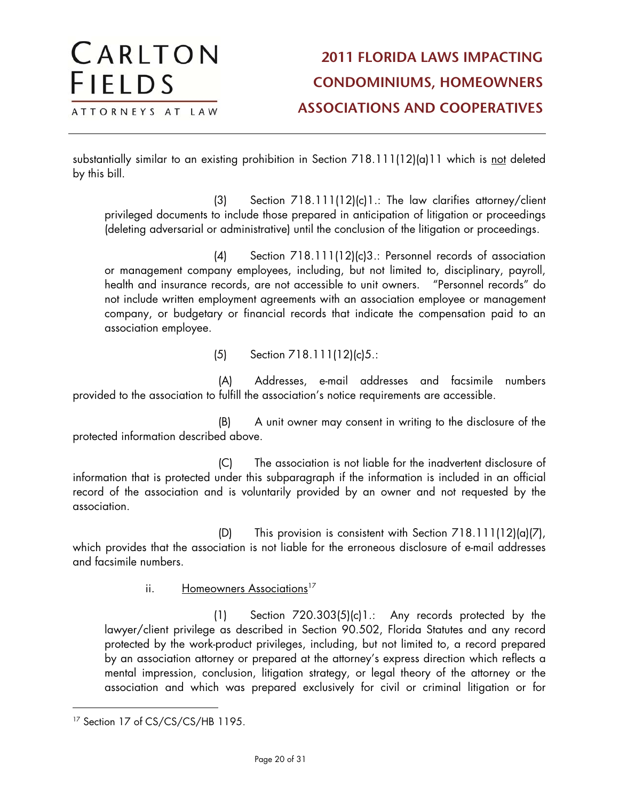substantially similar to an existing prohibition in Section 718.111(12)(a)11 which is not deleted by this bill.

(3) Section 718.111(12)(c)1.: The law clarifies attorney/client privileged documents to include those prepared in anticipation of litigation or proceedings (deleting adversarial or administrative) until the conclusion of the litigation or proceedings.

(4) Section 718.111(12)(c)3.: Personnel records of association or management company employees, including, but not limited to, disciplinary, payroll, health and insurance records, are not accessible to unit owners. "Personnel records" do not include written employment agreements with an association employee or management company, or budgetary or financial records that indicate the compensation paid to an association employee.

(5) Section 718.111(12)(c)5.:

(A) Addresses, e-mail addresses and facsimile numbers provided to the association to fulfill the association's notice requirements are accessible.

(B) A unit owner may consent in writing to the disclosure of the protected information described above.

(C) The association is not liable for the inadvertent disclosure of information that is protected under this subparagraph if the information is included in an official record of the association and is voluntarily provided by an owner and not requested by the association.

(D) This provision is consistent with Section 718.111(12)(a)(7), which provides that the association is not liable for the erroneous disclosure of e-mail addresses and facsimile numbers.

ii. Homeowners Associations<sup>17</sup>

(1) Section 720.303(5)(c)1.: Any records protected by the lawyer/client privilege as described in Section 90.502, Florida Statutes and any record protected by the work-product privileges, including, but not limited to, a record prepared by an association attorney or prepared at the attorney's express direction which reflects a mental impression, conclusion, litigation strategy, or legal theory of the attorney or the association and which was prepared exclusively for civil or criminal litigation or for

CARLTON

ATTORNEYS AT LAW

**FIELDS** 

<sup>&</sup>lt;sup>17</sup> Section 17 of CS/CS/CS/HB 1195.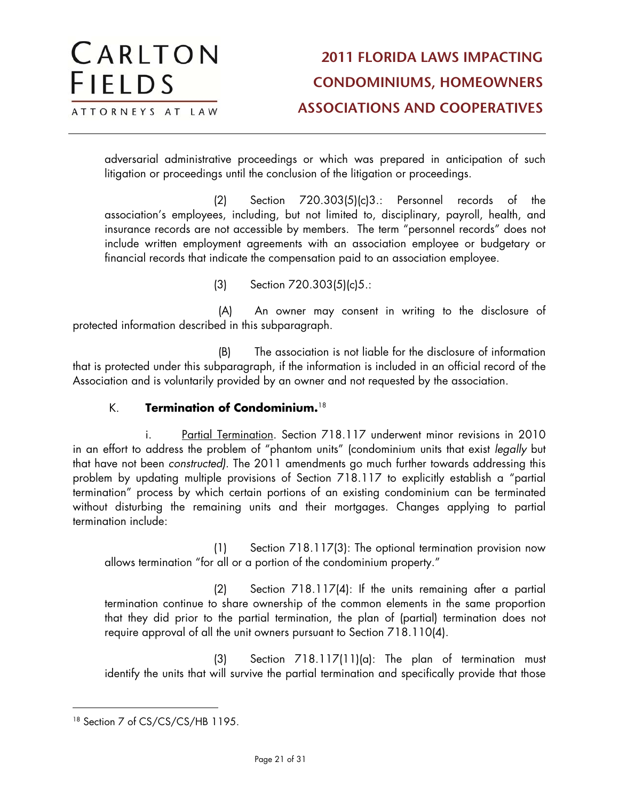adversarial administrative proceedings or which was prepared in anticipation of such litigation or proceedings until the conclusion of the litigation or proceedings.

(2) Section 720.303(5)(c)3.: Personnel records of the association's employees, including, but not limited to, disciplinary, payroll, health, and insurance records are not accessible by members. The term "personnel records" does not include written employment agreements with an association employee or budgetary or financial records that indicate the compensation paid to an association employee.

(3) Section 720.303(5)(c)5.:

(A) An owner may consent in writing to the disclosure of protected information described in this subparagraph.

(B) The association is not liable for the disclosure of information that is protected under this subparagraph, if the information is included in an official record of the Association and is voluntarily provided by an owner and not requested by the association.

#### K. **Termination of Condominium.**<sup>18</sup>

i. Partial Termination. Section 718.117 underwent minor revisions in 2010 in an effort to address the problem of "phantom units" (condominium units that exist legally but that have not been constructed). The 2011 amendments go much further towards addressing this problem by updating multiple provisions of Section 718.117 to explicitly establish a "partial termination" process by which certain portions of an existing condominium can be terminated without disturbing the remaining units and their mortgages. Changes applying to partial termination include:

(1) Section 718.117(3): The optional termination provision now allows termination "for all or a portion of the condominium property."

(2) Section 718.117(4): If the units remaining after a partial termination continue to share ownership of the common elements in the same proportion that they did prior to the partial termination, the plan of (partial) termination does not require approval of all the unit owners pursuant to Section 718.110(4).

(3) Section 718.117(11)(a): The plan of termination must identify the units that will survive the partial termination and specifically provide that those

<sup>&</sup>lt;sup>18</sup> Section 7 of CS/CS/CS/HB 1195.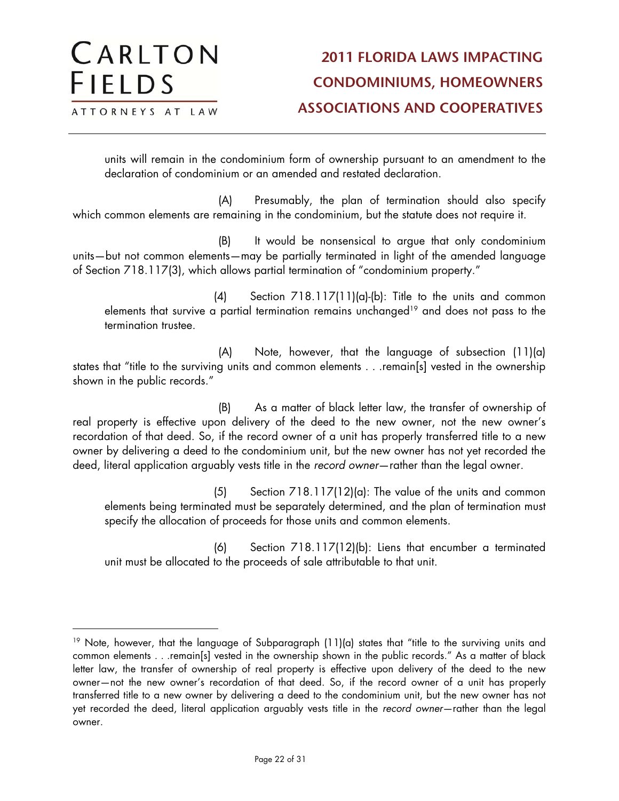$\overline{a}$ 

units will remain in the condominium form of ownership pursuant to an amendment to the declaration of condominium or an amended and restated declaration.

(A) Presumably, the plan of termination should also specify which common elements are remaining in the condominium, but the statute does not require it.

(B) It would be nonsensical to argue that only condominium units—but not common elements—may be partially terminated in light of the amended language of Section 718.117(3), which allows partial termination of "condominium property."

(4) Section 718.117(11)(a)-(b): Title to the units and common elements that survive a partial termination remains unchanged<sup>19</sup> and does not pass to the termination trustee.

(A) Note, however, that the language of subsection (11)(a) states that "title to the surviving units and common elements . . .remain[s] vested in the ownership shown in the public records."

(B) As a matter of black letter law, the transfer of ownership of real property is effective upon delivery of the deed to the new owner, not the new owner's recordation of that deed. So, if the record owner of a unit has properly transferred title to a new owner by delivering a deed to the condominium unit, but the new owner has not yet recorded the deed, literal application arguably vests title in the record owner—rather than the legal owner.

(5) Section 718.117(12)(a): The value of the units and common elements being terminated must be separately determined, and the plan of termination must specify the allocation of proceeds for those units and common elements.

(6) Section 718.117(12)(b): Liens that encumber a terminated unit must be allocated to the proceeds of sale attributable to that unit.

<sup>&</sup>lt;sup>19</sup> Note, however, that the language of Subparagraph (11)(a) states that "title to the surviving units and common elements . . .remain[s] vested in the ownership shown in the public records." As a matter of black letter law, the transfer of ownership of real property is effective upon delivery of the deed to the new owner—not the new owner's recordation of that deed. So, if the record owner of a unit has properly transferred title to a new owner by delivering a deed to the condominium unit, but the new owner has not yet recorded the deed, literal application arguably vests title in the record owner—rather than the legal owner.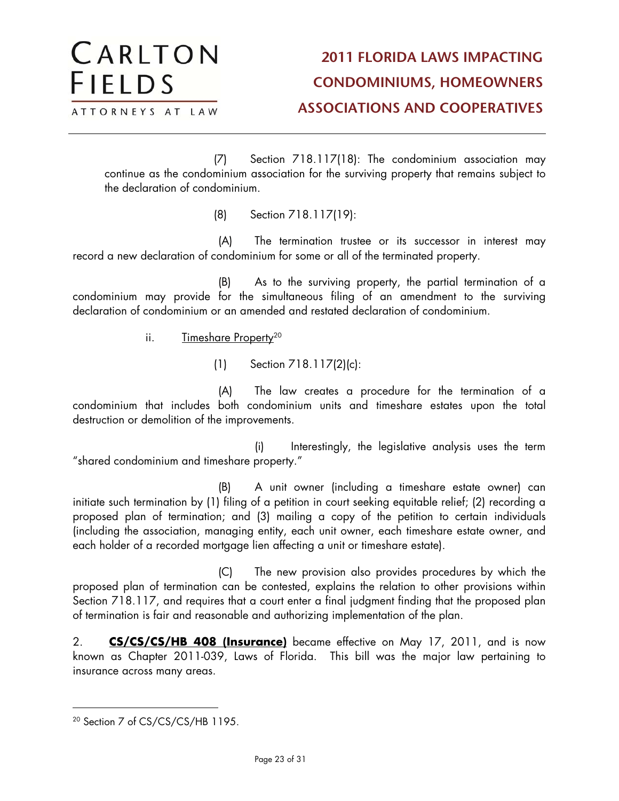(7) Section 718.117(18): The condominium association may continue as the condominium association for the surviving property that remains subject to the declaration of condominium.

(8) Section 718.117(19):

(A) The termination trustee or its successor in interest may record a new declaration of condominium for some or all of the terminated property.

(B) As to the surviving property, the partial termination of a condominium may provide for the simultaneous filing of an amendment to the surviving declaration of condominium or an amended and restated declaration of condominium.

ii. Timeshare Property<sup>20</sup>

CARLTON

ATTORNEYS AT LAW

**FIELDS** 

(1) Section 718.117(2)(c):

(A) The law creates a procedure for the termination of a condominium that includes both condominium units and timeshare estates upon the total destruction or demolition of the improvements.

(i) Interestingly, the legislative analysis uses the term "shared condominium and timeshare property."

(B) A unit owner (including a timeshare estate owner) can initiate such termination by (1) filing of a petition in court seeking equitable relief; (2) recording a proposed plan of termination; and (3) mailing a copy of the petition to certain individuals (including the association, managing entity, each unit owner, each timeshare estate owner, and each holder of a recorded mortgage lien affecting a unit or timeshare estate).

(C) The new provision also provides procedures by which the proposed plan of termination can be contested, explains the relation to other provisions within Section 718.117, and requires that a court enter a final judgment finding that the proposed plan of termination is fair and reasonable and authorizing implementation of the plan.

2. **CS/CS/CS/HB 408 (Insurance)** became effective on May 17, 2011, and is now known as Chapter 2011-039, Laws of Florida. This bill was the major law pertaining to insurance across many areas.

<sup>20</sup> Section 7 of CS/CS/CS/HB 1195.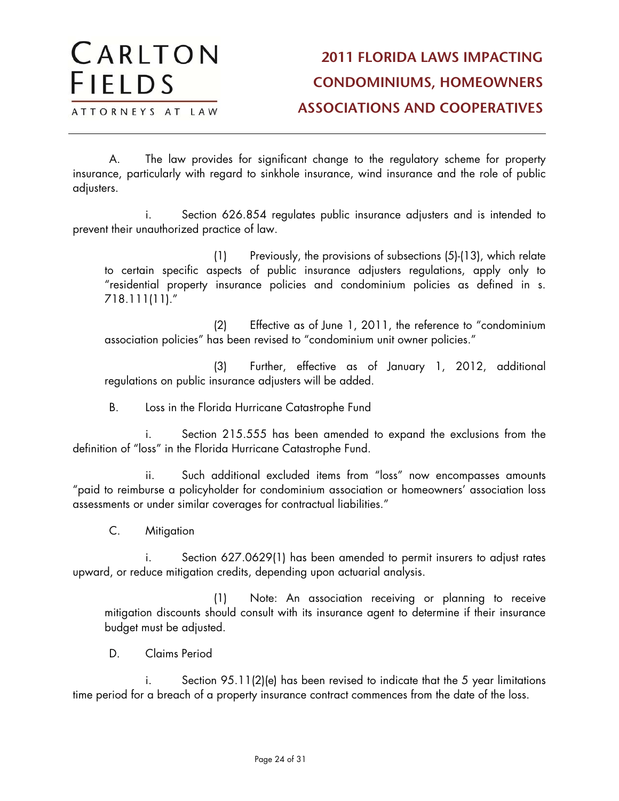A. The law provides for significant change to the regulatory scheme for property insurance, particularly with regard to sinkhole insurance, wind insurance and the role of public adjusters.

i. Section 626.854 regulates public insurance adjusters and is intended to prevent their unauthorized practice of law.

(1) Previously, the provisions of subsections (5)-(13), which relate to certain specific aspects of public insurance adjusters regulations, apply only to "residential property insurance policies and condominium policies as defined in s. 718.111(11)."

(2) Effective as of June 1, 2011, the reference to "condominium association policies" has been revised to "condominium unit owner policies."

(3) Further, effective as of January 1, 2012, additional regulations on public insurance adjusters will be added.

B. Loss in the Florida Hurricane Catastrophe Fund

i. Section 215.555 has been amended to expand the exclusions from the definition of "loss" in the Florida Hurricane Catastrophe Fund.

ii. Such additional excluded items from "loss" now encompasses amounts "paid to reimburse a policyholder for condominium association or homeowners' association loss assessments or under similar coverages for contractual liabilities."

C. Mitigation

i. Section 627.0629(1) has been amended to permit insurers to adjust rates upward, or reduce mitigation credits, depending upon actuarial analysis.

(1) Note: An association receiving or planning to receive mitigation discounts should consult with its insurance agent to determine if their insurance budget must be adjusted.

D. Claims Period

Section 95.11(2)(e) has been revised to indicate that the 5 year limitations time period for a breach of a property insurance contract commences from the date of the loss.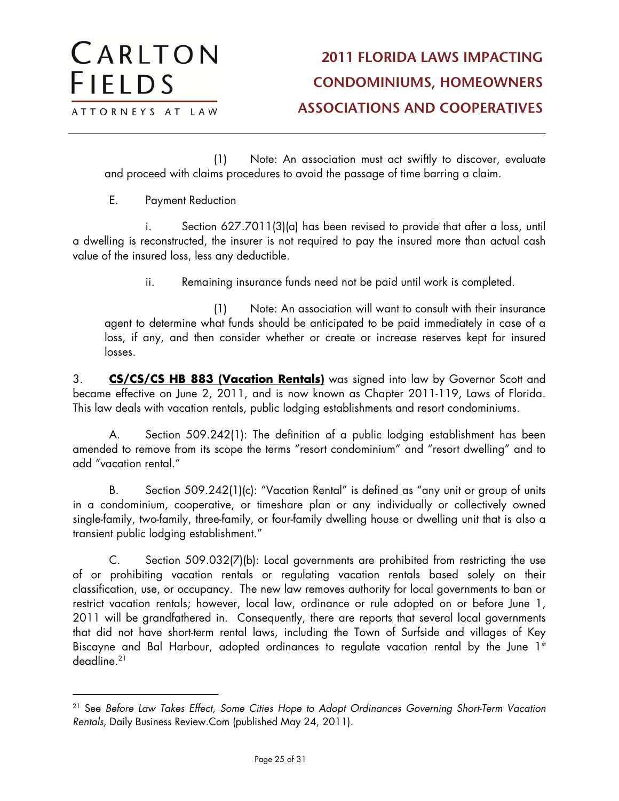(1) Note: An association must act swiftly to discover, evaluate and proceed with claims procedures to avoid the passage of time barring a claim.

E. Payment Reduction

 $\overline{a}$ 

i. Section 627.7011(3)(a) has been revised to provide that after a loss, until a dwelling is reconstructed, the insurer is not required to pay the insured more than actual cash value of the insured loss, less any deductible.

ii. Remaining insurance funds need not be paid until work is completed.

(1) Note: An association will want to consult with their insurance agent to determine what funds should be anticipated to be paid immediately in case of a loss, if any, and then consider whether or create or increase reserves kept for insured losses.

3. **CS/CS/CS HB 883 (Vacation Rentals)** was signed into law by Governor Scott and became effective on June 2, 2011, and is now known as Chapter 2011-119, Laws of Florida. This law deals with vacation rentals, public lodging establishments and resort condominiums.

A. Section 509.242(1): The definition of a public lodging establishment has been amended to remove from its scope the terms "resort condominium" and "resort dwelling" and to add "vacation rental."

B. Section 509.242(1)(c): "Vacation Rental" is defined as "any unit or group of units in a condominium, cooperative, or timeshare plan or any individually or collectively owned single-family, two-family, three-family, or four-family dwelling house or dwelling unit that is also a transient public lodging establishment."

C. Section 509.032(7)(b): Local governments are prohibited from restricting the use of or prohibiting vacation rentals or regulating vacation rentals based solely on their classification, use, or occupancy. The new law removes authority for local governments to ban or restrict vacation rentals; however, local law, ordinance or rule adopted on or before June 1, 2011 will be grandfathered in. Consequently, there are reports that several local governments that did not have short-term rental laws, including the Town of Surfside and villages of Key Biscayne and Bal Harbour, adopted ordinances to regulate vacation rental by the June 1st deadline.21

<sup>&</sup>lt;sup>21</sup> See Before Law Takes Effect, Some Cities Hope to Adopt Ordinances Governing Short-Term Vacation Rentals, Daily Business Review.Com (published May 24, 2011).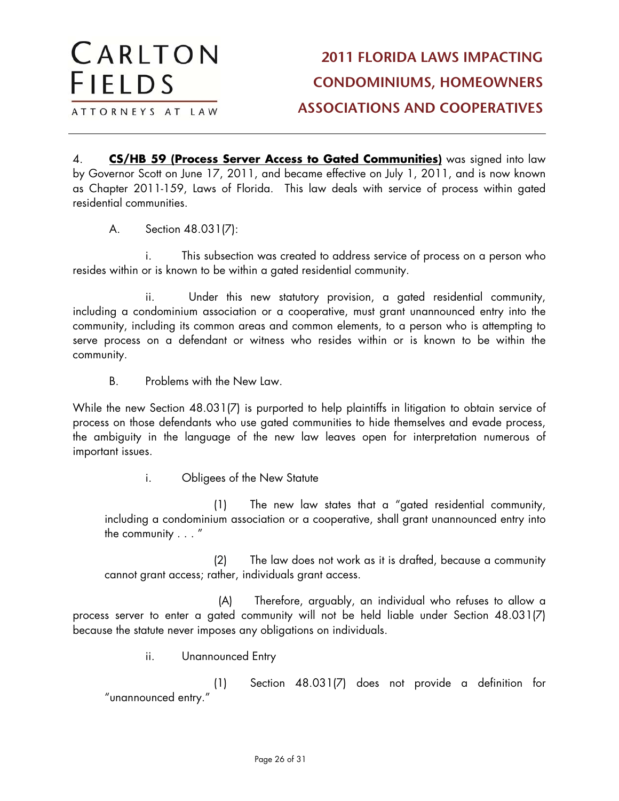ATTORNEYS AT LAW

CARLTON

**FIELDS** 

4. **CS/HB 59 (Process Server Access to Gated Communities)** was signed into law by Governor Scott on June 17, 2011, and became effective on July 1, 2011, and is now known as Chapter 2011-159, Laws of Florida. This law deals with service of process within gated residential communities.

A. Section 48.031(7):

i. This subsection was created to address service of process on a person who resides within or is known to be within a gated residential community.

ii. Under this new statutory provision, a gated residential community, including a condominium association or a cooperative, must grant unannounced entry into the community, including its common areas and common elements, to a person who is attempting to serve process on a defendant or witness who resides within or is known to be within the community.

B. Problems with the New Law.

While the new Section 48.031(7) is purported to help plaintiffs in litigation to obtain service of process on those defendants who use gated communities to hide themselves and evade process, the ambiguity in the language of the new law leaves open for interpretation numerous of important issues.

i. Obligees of the New Statute

(1) The new law states that a "gated residential community, including a condominium association or a cooperative, shall grant unannounced entry into the community . . . "

(2) The law does not work as it is drafted, because a community cannot grant access; rather, individuals grant access.

(A) Therefore, arguably, an individual who refuses to allow a process server to enter a gated community will not be held liable under Section 48.031(7) because the statute never imposes any obligations on individuals.

ii. Unannounced Entry

(1) Section 48.031(7) does not provide a definition for "unannounced entry."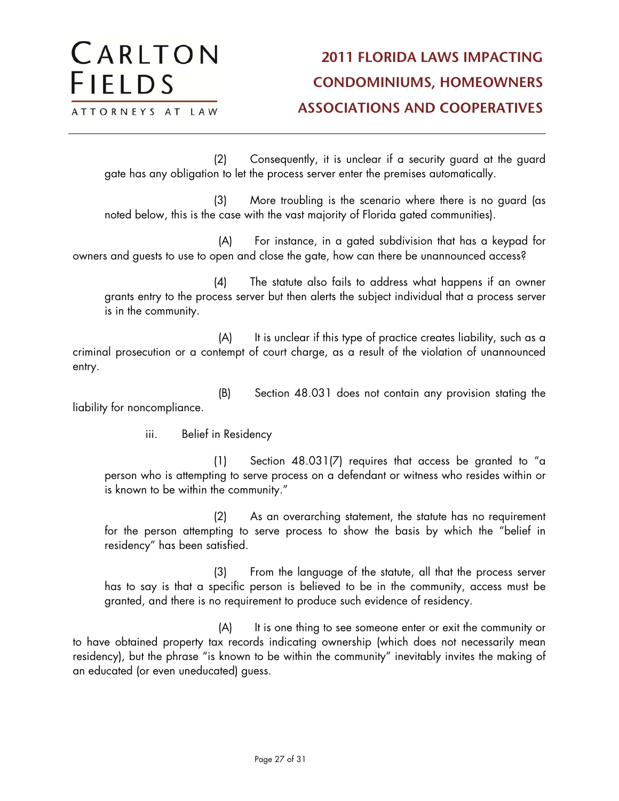#### CARLTON **2011 FLORIDA LAWS IMPACTING FIELDS CONDOMINIUMS, HOMEOWNERS ASSOCIATIONS AND COOPERATIVES** ATTORNEYS AT LAW

(2) Consequently, it is unclear if a security guard at the guard gate has any obligation to let the process server enter the premises automatically.

(3) More troubling is the scenario where there is no guard (as noted below, this is the case with the vast majority of Florida gated communities).

(A) For instance, in a gated subdivision that has a keypad for owners and guests to use to open and close the gate, how can there be unannounced access?

(4) The statute also fails to address what happens if an owner grants entry to the process server but then alerts the subject individual that a process server is in the community.

(A) It is unclear if this type of practice creates liability, such as a criminal prosecution or a contempt of court charge, as a result of the violation of unannounced entry.

(B) Section 48.031 does not contain any provision stating the liability for noncompliance.

iii. Belief in Residency

(1) Section 48.031(7) requires that access be granted to "a person who is attempting to serve process on a defendant or witness who resides within or is known to be within the community."

(2) As an overarching statement, the statute has no requirement for the person attempting to serve process to show the basis by which the "belief in residency" has been satisfied.

(3) From the language of the statute, all that the process server has to say is that a specific person is believed to be in the community, access must be granted, and there is no requirement to produce such evidence of residency.

(A) It is one thing to see someone enter or exit the community or to have obtained property tax records indicating ownership (which does not necessarily mean residency), but the phrase "is known to be within the community" inevitably invites the making of an educated (or even uneducated) guess.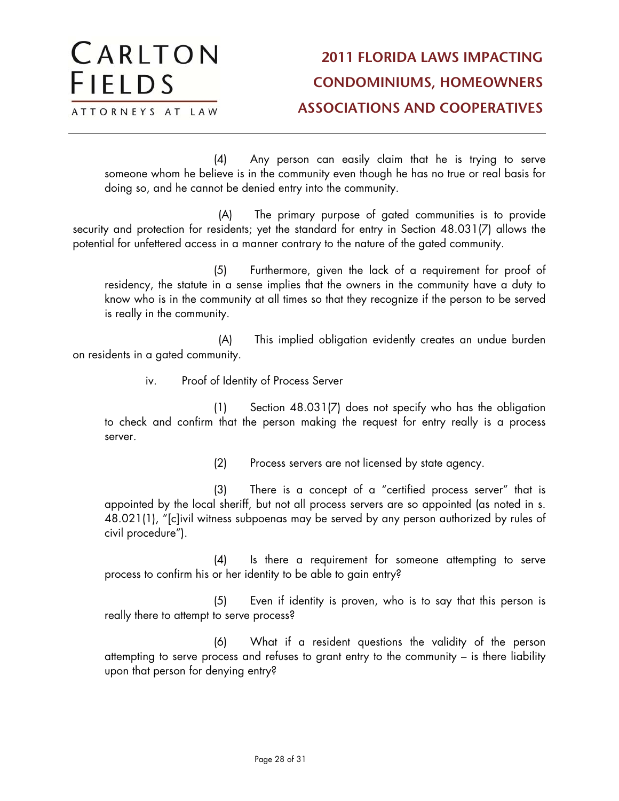(4) Any person can easily claim that he is trying to serve someone whom he believe is in the community even though he has no true or real basis for doing so, and he cannot be denied entry into the community.

(A) The primary purpose of gated communities is to provide security and protection for residents; yet the standard for entry in Section 48.031(7) allows the potential for unfettered access in a manner contrary to the nature of the gated community.

(5) Furthermore, given the lack of a requirement for proof of residency, the statute in a sense implies that the owners in the community have a duty to know who is in the community at all times so that they recognize if the person to be served is really in the community.

(A) This implied obligation evidently creates an undue burden on residents in a gated community.

iv. Proof of Identity of Process Server

(1) Section 48.031(7) does not specify who has the obligation to check and confirm that the person making the request for entry really is a process server.

(2) Process servers are not licensed by state agency.

(3) There is a concept of a "certified process server" that is appointed by the local sheriff, but not all process servers are so appointed (as noted in s. 48.021(1), "[c]ivil witness subpoenas may be served by any person authorized by rules of civil procedure").

(4) Is there a requirement for someone attempting to serve process to confirm his or her identity to be able to gain entry?

(5) Even if identity is proven, who is to say that this person is really there to attempt to serve process?

(6) What if a resident questions the validity of the person attempting to serve process and refuses to grant entry to the community – is there liability upon that person for denying entry?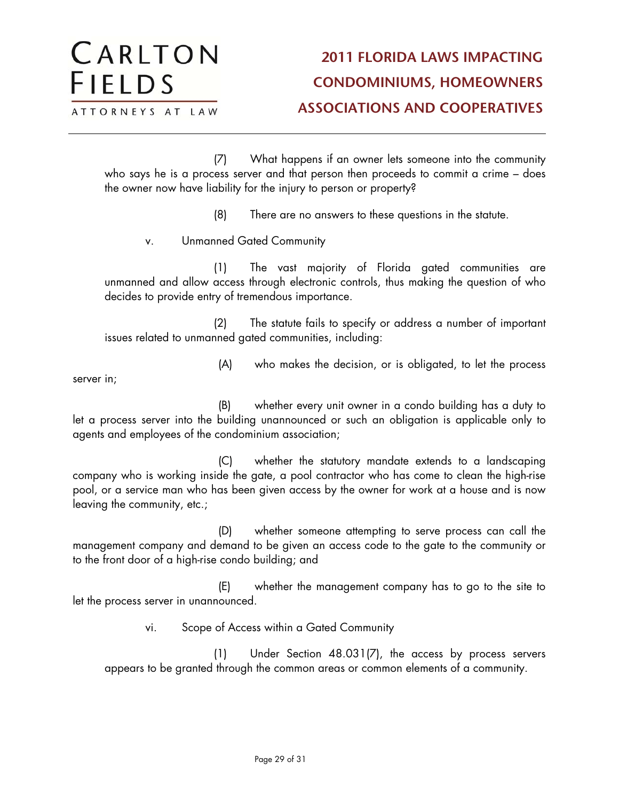(7) What happens if an owner lets someone into the community who says he is a process server and that person then proceeds to commit a crime – does the owner now have liability for the injury to person or property?

(8) There are no answers to these questions in the statute.

v. Unmanned Gated Community

(1) The vast majority of Florida gated communities are unmanned and allow access through electronic controls, thus making the question of who decides to provide entry of tremendous importance.

(2) The statute fails to specify or address a number of important issues related to unmanned gated communities, including:

(A) who makes the decision, or is obligated, to let the process

server in;

(B) whether every unit owner in a condo building has a duty to let a process server into the building unannounced or such an obligation is applicable only to agents and employees of the condominium association;

(C) whether the statutory mandate extends to a landscaping company who is working inside the gate, a pool contractor who has come to clean the high-rise pool, or a service man who has been given access by the owner for work at a house and is now leaving the community, etc.;

(D) whether someone attempting to serve process can call the management company and demand to be given an access code to the gate to the community or to the front door of a high-rise condo building; and

(E) whether the management company has to go to the site to let the process server in unannounced.

vi. Scope of Access within a Gated Community

(1) Under Section 48.031(7), the access by process servers appears to be granted through the common areas or common elements of a community.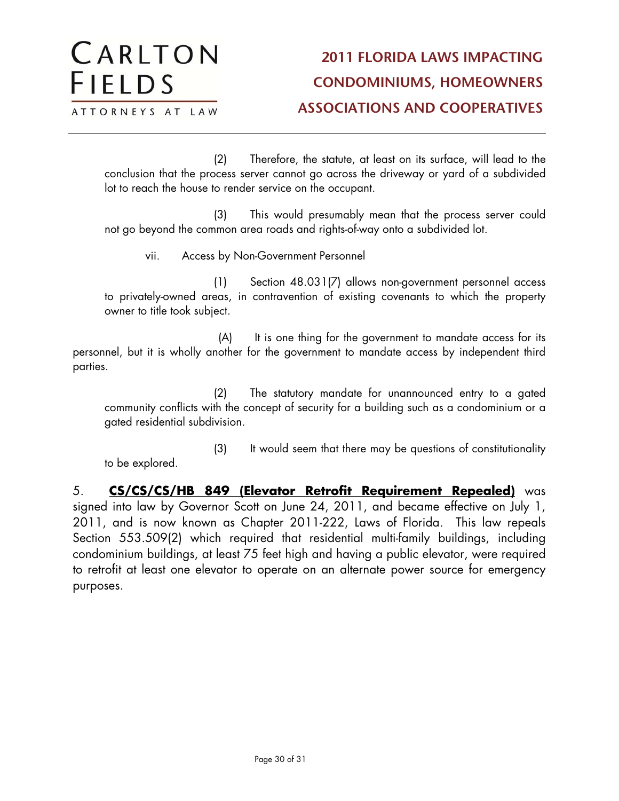(2) Therefore, the statute, at least on its surface, will lead to the conclusion that the process server cannot go across the driveway or yard of a subdivided lot to reach the house to render service on the occupant.

(3) This would presumably mean that the process server could not go beyond the common area roads and rights-of-way onto a subdivided lot.

vii. Access by Non-Government Personnel

(1) Section 48.031(7) allows non-government personnel access to privately-owned areas, in contravention of existing covenants to which the property owner to title took subject.

(A) It is one thing for the government to mandate access for its personnel, but it is wholly another for the government to mandate access by independent third parties.

(2) The statutory mandate for unannounced entry to a gated community conflicts with the concept of security for a building such as a condominium or a gated residential subdivision.

(3) It would seem that there may be questions of constitutionality to be explored.

5. **CS/CS/CS/HB 849 (Elevator Retrofit Requirement Repealed)** was signed into law by Governor Scott on June 24, 2011, and became effective on July 1, 2011, and is now known as Chapter 2011-222, Laws of Florida. This law repeals Section 553.509(2) which required that residential multi-family buildings, including condominium buildings, at least 75 feet high and having a public elevator, were required to retrofit at least one elevator to operate on an alternate power source for emergency purposes.